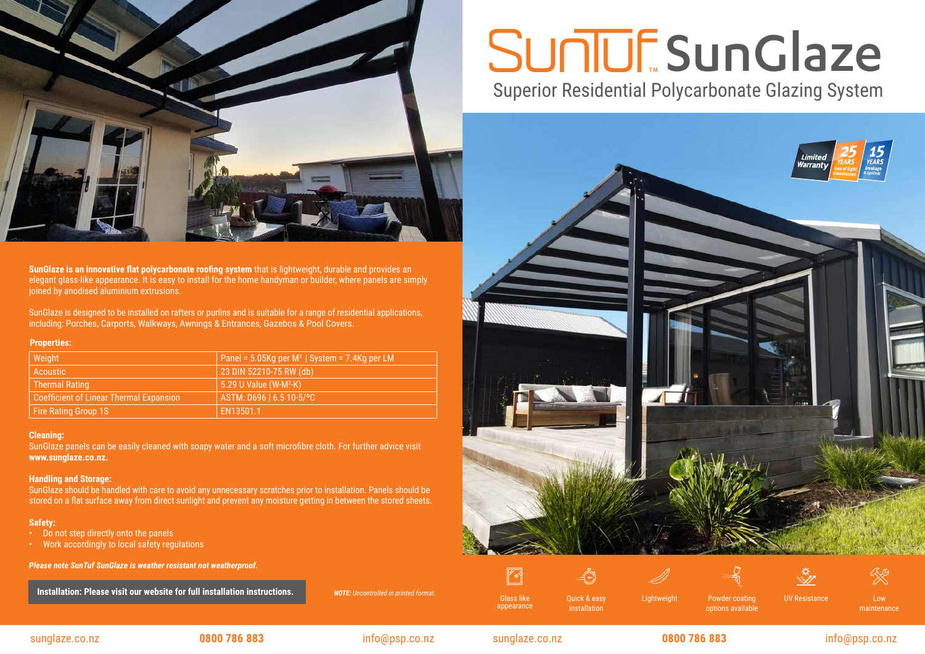Glass like appearance

Quick & easy Communication Communicular Communicular Continuity Controller Continuity Controller Controller Co options available



installation

 $-\vec{A}$ 





Low maintenance

# **SunGlaze** Superior Residential Polycarbonate Glazing System



## $\mathbb{Z}$



### sunglaze.co.nz **0800 786 883** info@psp.co.nz sunglaze.co.nz **0800 786 883** info@psp.co.nz

#### **Cleaning:**

SunGlaze panels can be easily cleaned with soapy water and a soft microfibre cloth. For further advice visit **www.sunglaze.co.nz.**

#### **Handling and Storage:**

SunGlaze should be handled with care to avoid any unnecessary scratches prior to installation. Panels should be stored on a flat surface away from direct sunlight and prevent any moisture getting in between the stored sheets.

### **Safety:**

- Do not step directly onto the panels
- Work accordingly to local safety regulations

*Please note SunTuf SunGlaze is weather resistant not weatherproof.*

**Installation: Please visit our website for full installation instructions.** *NOTE: Uncontrolled in printed format.* 

| Weight                                         | Panel = $5.05$ Kg per M <sup>2</sup>   System = $7.4$ Kg per LM |
|------------------------------------------------|-----------------------------------------------------------------|
| Acoustic                                       | 23 DIN 52210-75 RW (db)                                         |
| <b>Thermal Rating</b>                          | 5.29 U Value (W-M <sup>2</sup> -K)                              |
| <b>Coefficient of Linear Thermal Expansion</b> | ASTM: D696   6.5 10-5/°C                                        |
| Fire Rating Group 1S                           | EN13501.1                                                       |

#### **Properties:**



**SunGlaze is an innovative flat polycarbonate roofing system** that is lightweight, durable and provides an elegant glass-like appearance. It is easy to install for the home handyman or builder, where panels are simply joined by anodised aluminium extrusions.

SunGlaze is designed to be installed on rafters or purlins and is suitable for a range of residential applications, including: Porches, Carports, Walkways, Awnings & Entrances, Gazebos & Pool Covers.